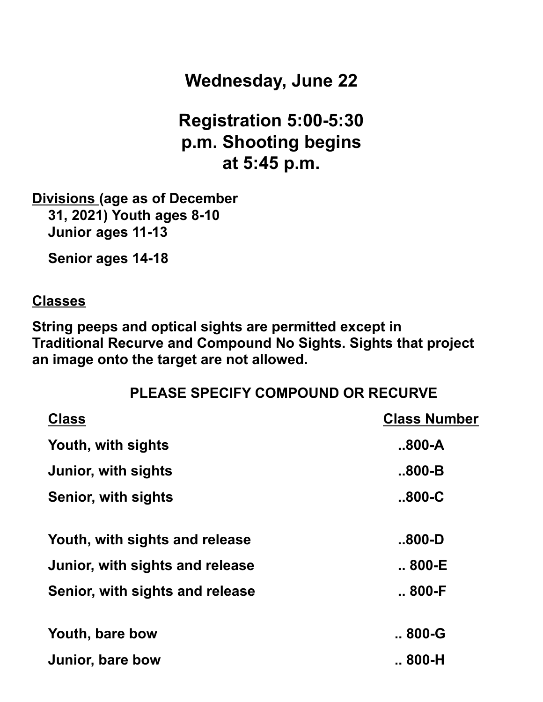## **Wednesday, June 22**

## **Registration 5:00-5:30 p.m. Shooting begins at 5:45 p.m.**

**Divisions (age as of December 31, 2021) Youth ages 8-10 Junior ages 11-13**

**Senior ages 14-18**

#### **Classes**

**String peeps and optical sights are permitted except in Traditional Recurve and Compound No Sights. Sights that project an image onto the target are not allowed.**

#### **PLEASE SPECIFY COMPOUND OR RECURVE**

| <b>Class</b>                    | <b>Class Number</b> |
|---------------------------------|---------------------|
| Youth, with sights              | $800-A$             |
| Junior, with sights             | $800 - B$           |
| Senior, with sights             | $800 - C$           |
| Youth, with sights and release  | $800 - D$           |
| Junior, with sights and release | $800 - E$           |
| Senior, with sights and release | $ 800-F$            |
| Youth, bare bow                 | $800 - G$           |
| Junior, bare bow                | $800-H$             |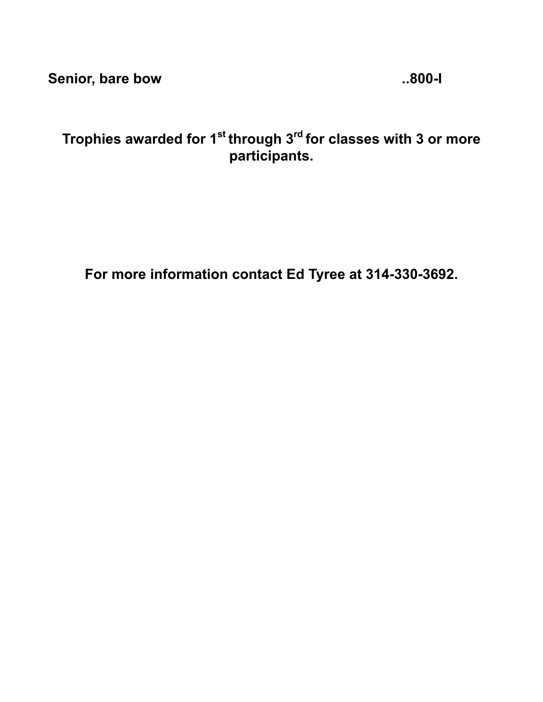**Senior, bare bow ..800-I**

## **Trophies awarded for 1 st through 3 rd for classes with 3 or more participants.**

**For more information contact Ed Tyree at 314-330-3692.**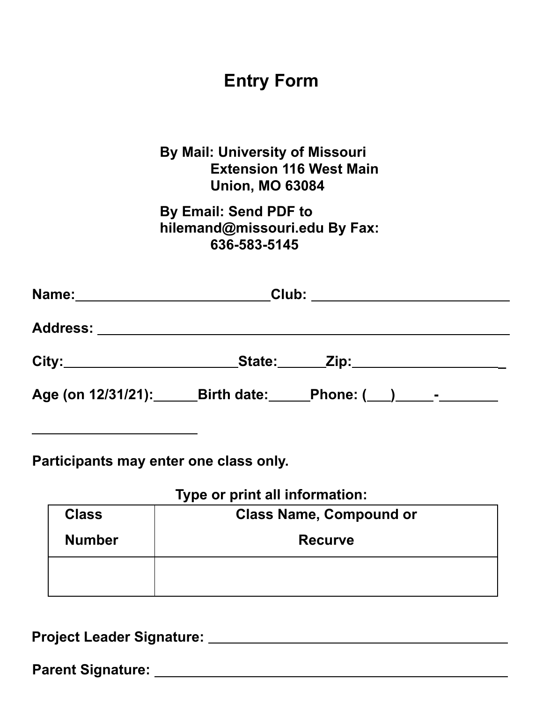# **Entry Form**

### **By Mail: University of Missouri Extension 116 West Main Union, MO 63084**

#### **By Email: Send PDF to [hilemand@missouri.edu](mailto:hilemand@missouri.edu) By Fax: 636-583-5145**

| Name: ________________________ | Club: ________________________ |                         |  |
|--------------------------------|--------------------------------|-------------------------|--|
|                                |                                |                         |  |
|                                |                                | State: <u>Zip: Zip:</u> |  |
|                                |                                |                         |  |

**Participants may enter one class only.**

### **Type or print all information:**

| <b>Class</b>  | <b>Class Name, Compound or</b> |
|---------------|--------------------------------|
| <b>Number</b> | <b>Recurve</b>                 |
|               |                                |

**Project Leader Signature:**

**Parent Signature:**